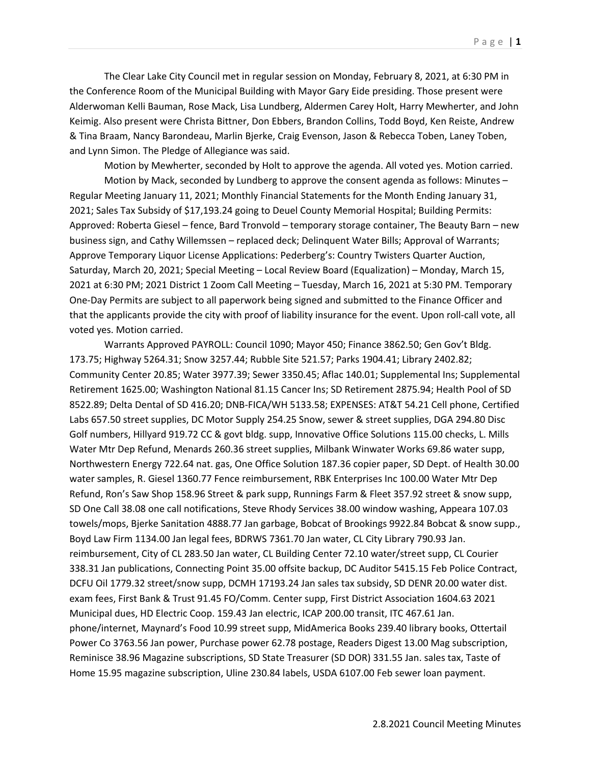The Clear Lake City Council met in regular session on Monday, February 8, 2021, at 6:30 PM in the Conference Room of the Municipal Building with Mayor Gary Eide presiding. Those present were Alderwoman Kelli Bauman, Rose Mack, Lisa Lundberg, Aldermen Carey Holt, Harry Mewherter, and John Keimig. Also present were Christa Bittner, Don Ebbers, Brandon Collins, Todd Boyd, Ken Reiste, Andrew & Tina Braam, Nancy Barondeau, Marlin Bjerke, Craig Evenson, Jason & Rebecca Toben, Laney Toben, and Lynn Simon. The Pledge of Allegiance was said.

Motion by Mewherter, seconded by Holt to approve the agenda. All voted yes. Motion carried.

Motion by Mack, seconded by Lundberg to approve the consent agenda as follows: Minutes – Regular Meeting January 11, 2021; Monthly Financial Statements for the Month Ending January 31, 2021; Sales Tax Subsidy of \$17,193.24 going to Deuel County Memorial Hospital; Building Permits: Approved: Roberta Giesel – fence, Bard Tronvold – temporary storage container, The Beauty Barn – new business sign, and Cathy Willemssen – replaced deck; Delinquent Water Bills; Approval of Warrants; Approve Temporary Liquor License Applications: Pederberg's: Country Twisters Quarter Auction, Saturday, March 20, 2021; Special Meeting – Local Review Board (Equalization) – Monday, March 15, 2021 at 6:30 PM; 2021 District 1 Zoom Call Meeting – Tuesday, March 16, 2021 at 5:30 PM. Temporary One-Day Permits are subject to all paperwork being signed and submitted to the Finance Officer and that the applicants provide the city with proof of liability insurance for the event. Upon roll-call vote, all voted yes. Motion carried.

Warrants Approved PAYROLL: Council 1090; Mayor 450; Finance 3862.50; Gen Gov't Bldg. 173.75; Highway 5264.31; Snow 3257.44; Rubble Site 521.57; Parks 1904.41; Library 2402.82; Community Center 20.85; Water 3977.39; Sewer 3350.45; Aflac 140.01; Supplemental Ins; Supplemental Retirement 1625.00; Washington National 81.15 Cancer Ins; SD Retirement 2875.94; Health Pool of SD 8522.89; Delta Dental of SD 416.20; DNB-FICA/WH 5133.58; EXPENSES: AT&T 54.21 Cell phone, Certified Labs 657.50 street supplies, DC Motor Supply 254.25 Snow, sewer & street supplies, DGA 294.80 Disc Golf numbers, Hillyard 919.72 CC & govt bldg. supp, Innovative Office Solutions 115.00 checks, L. Mills Water Mtr Dep Refund, Menards 260.36 street supplies, Milbank Winwater Works 69.86 water supp, Northwestern Energy 722.64 nat. gas, One Office Solution 187.36 copier paper, SD Dept. of Health 30.00 water samples, R. Giesel 1360.77 Fence reimbursement, RBK Enterprises Inc 100.00 Water Mtr Dep Refund, Ron's Saw Shop 158.96 Street & park supp, Runnings Farm & Fleet 357.92 street & snow supp, SD One Call 38.08 one call notifications, Steve Rhody Services 38.00 window washing, Appeara 107.03 towels/mops, Bjerke Sanitation 4888.77 Jan garbage, Bobcat of Brookings 9922.84 Bobcat & snow supp., Boyd Law Firm 1134.00 Jan legal fees, BDRWS 7361.70 Jan water, CL City Library 790.93 Jan. reimbursement, City of CL 283.50 Jan water, CL Building Center 72.10 water/street supp, CL Courier 338.31 Jan publications, Connecting Point 35.00 offsite backup, DC Auditor 5415.15 Feb Police Contract, DCFU Oil 1779.32 street/snow supp, DCMH 17193.24 Jan sales tax subsidy, SD DENR 20.00 water dist. exam fees, First Bank & Trust 91.45 FO/Comm. Center supp, First District Association 1604.63 2021 Municipal dues, HD Electric Coop. 159.43 Jan electric, ICAP 200.00 transit, ITC 467.61 Jan. phone/internet, Maynard's Food 10.99 street supp, MidAmerica Books 239.40 library books, Ottertail Power Co 3763.56 Jan power, Purchase power 62.78 postage, Readers Digest 13.00 Mag subscription, Reminisce 38.96 Magazine subscriptions, SD State Treasurer (SD DOR) 331.55 Jan. sales tax, Taste of Home 15.95 magazine subscription, Uline 230.84 labels, USDA 6107.00 Feb sewer loan payment.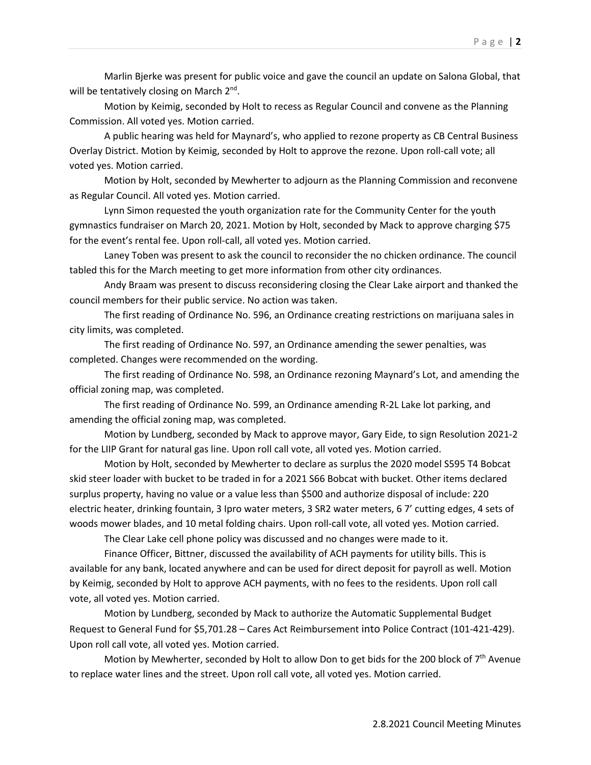Marlin Bjerke was present for public voice and gave the council an update on Salona Global, that will be tentatively closing on March 2<sup>nd</sup>.

Motion by Keimig, seconded by Holt to recess as Regular Council and convene as the Planning Commission. All voted yes. Motion carried.

A public hearing was held for Maynard's, who applied to rezone property as CB Central Business Overlay District. Motion by Keimig, seconded by Holt to approve the rezone. Upon roll-call vote; all voted yes. Motion carried.

Motion by Holt, seconded by Mewherter to adjourn as the Planning Commission and reconvene as Regular Council. All voted yes. Motion carried.

Lynn Simon requested the youth organization rate for the Community Center for the youth gymnastics fundraiser on March 20, 2021. Motion by Holt, seconded by Mack to approve charging \$75 for the event's rental fee. Upon roll-call, all voted yes. Motion carried.

Laney Toben was present to ask the council to reconsider the no chicken ordinance. The council tabled this for the March meeting to get more information from other city ordinances.

Andy Braam was present to discuss reconsidering closing the Clear Lake airport and thanked the council members for their public service. No action was taken.

The first reading of Ordinance No. 596, an Ordinance creating restrictions on marijuana sales in city limits, was completed.

The first reading of Ordinance No. 597, an Ordinance amending the sewer penalties, was completed. Changes were recommended on the wording.

The first reading of Ordinance No. 598, an Ordinance rezoning Maynard's Lot, and amending the official zoning map, was completed.

The first reading of Ordinance No. 599, an Ordinance amending R-2L Lake lot parking, and amending the official zoning map, was completed.

Motion by Lundberg, seconded by Mack to approve mayor, Gary Eide, to sign Resolution 2021-2 for the LIIP Grant for natural gas line. Upon roll call vote, all voted yes. Motion carried.

Motion by Holt, seconded by Mewherter to declare as surplus the 2020 model S595 T4 Bobcat skid steer loader with bucket to be traded in for a 2021 S66 Bobcat with bucket. Other items declared surplus property, having no value or a value less than \$500 and authorize disposal of include: 220 electric heater, drinking fountain, 3 Ipro water meters, 3 SR2 water meters, 6 7' cutting edges, 4 sets of woods mower blades, and 10 metal folding chairs. Upon roll-call vote, all voted yes. Motion carried.

The Clear Lake cell phone policy was discussed and no changes were made to it.

Finance Officer, Bittner, discussed the availability of ACH payments for utility bills. This is available for any bank, located anywhere and can be used for direct deposit for payroll as well. Motion by Keimig, seconded by Holt to approve ACH payments, with no fees to the residents. Upon roll call vote, all voted yes. Motion carried.

Motion by Lundberg, seconded by Mack to authorize the Automatic Supplemental Budget Request to General Fund for \$5,701.28 – Cares Act Reimbursement into Police Contract (101-421-429). Upon roll call vote, all voted yes. Motion carried.

Motion by Mewherter, seconded by Holt to allow Don to get bids for the 200 block of  $7<sup>th</sup>$  Avenue to replace water lines and the street. Upon roll call vote, all voted yes. Motion carried.